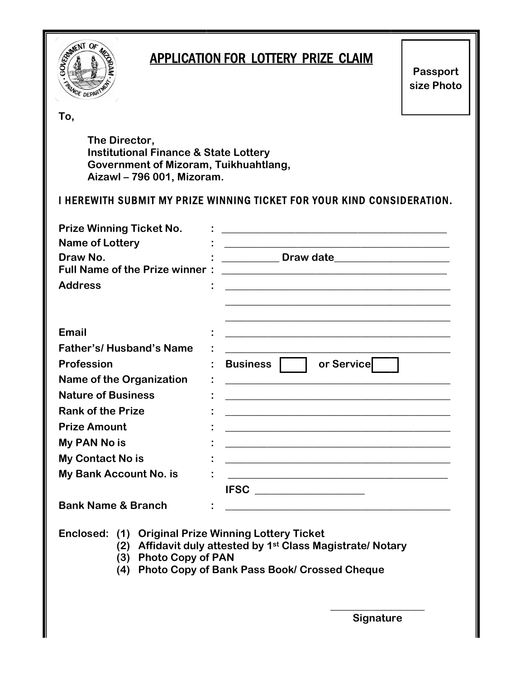

Enclosed: (1) Original Prize Winning Lottery Ticket

- (2) Affidavit duly attested by 1<sup>st</sup> Class Magistrate/ Notary
- (3) Photo Copy of PAN
- (4) Photo Copy of Bank Pass Book/ Crossed Cheque

Signature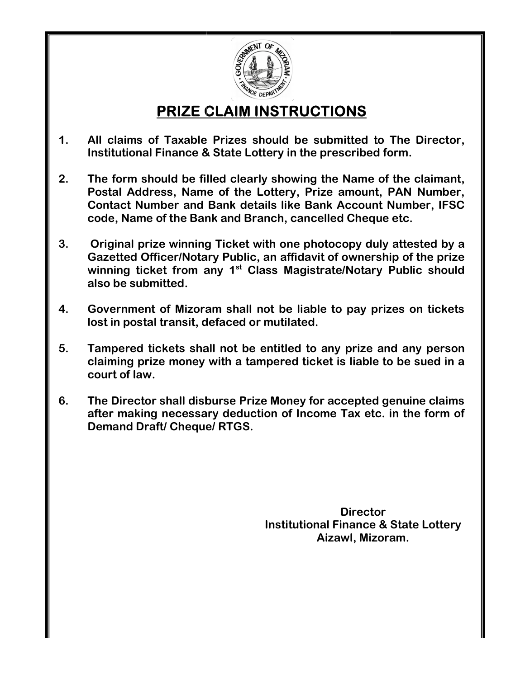

# PRIZE CLAIM INSTRUCTIONS

- 1. All claims of Taxable Prizes should be submitted to The Director,  $\|$ Institutional Finance & State Lottery in the prescribed form. CLAIM INSTRUCTIONS<br>
Extricts a should be submitted to The Director,<br>
& State Lottery in the prescribed form.
- 2. The form should be filled clearly showing the Name of the claimant, Postal Address, Name of the Lottery, Prize amount, PAN Number, \_\_\_\_\_\_\_\_\_\_\_\_\_\_\_\_\_<br>Contact Number and Bank details like Bank Account Number, IFSC \_\_\_\_\_\_\_\_\_\_\_\_\_\_\_\_\_<br>code, Name of the Bank and Branch, cancelled Cheque etc. Contact Number and Bank details like Bank Account Number, IFSC code, Name of the Bank All claims of Taxable Prizes should be submitted to The Director,<br>Institutional Finance & State Lottery in the prescribed form.<br>The form should be filled claerly showing the Name of the claimant,<br>Postal Address, Name of th
- 3. Original prize winning Ticket with one photocopy duly attested by a Gazetted Officer/Notary Public, an affidavit of ownership of the prize Original prize winning Ticket with one photocopy duly attested by a<br>Gazetted Officer/Notary Public, an affidavit of ownership of the prize<br>winning ticket from any 1<sup>st</sup> Class Magistrate/Notary Public should also be submitted.
- 4. Government of Mizoram shall not be liable to pay prizes on tickets lost in postal transit, defaced or mutilated.
- 5. Tampered tickets shall not be entitled to any prize and any person claiming prize money with a tampered ticket is liable to be sued in a court of law. Government of Mizoram shall not be liable to pay prizes on ticket<br>lost in postal transit, defaced or mutilated.<br>Tampered tickets shall not be entitled to any prize and any perso<br>claiming prize money with a tampered ticket
- 6. The Director shall disburse Prize Money for accepted genuine claims after making necessary deduction of Income Tax etc. in the form of Demand Draft/ Cheque/

**Director** Institutional Finance & State Lottery Aizawl, Mizoram.